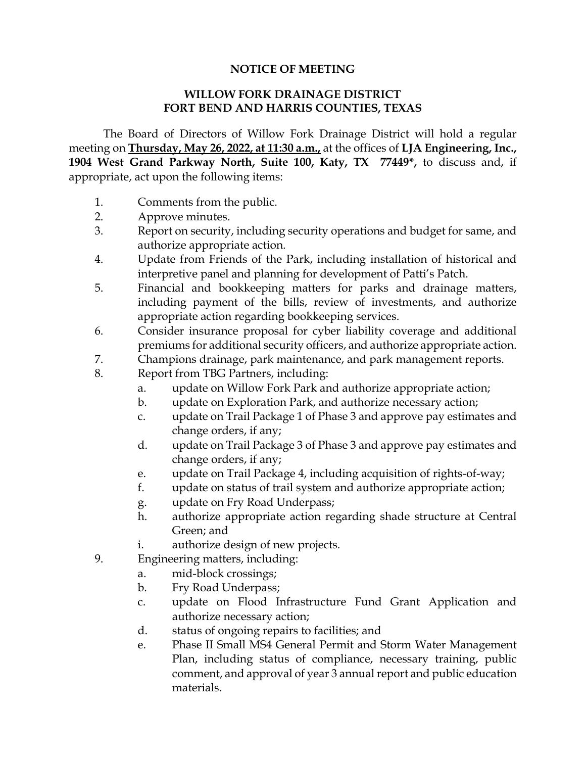## **NOTICE OF MEETING**

## **WILLOW FORK DRAINAGE DISTRICT FORT BEND AND HARRIS COUNTIES, TEXAS**

The Board of Directors of Willow Fork Drainage District will hold a regular meeting on **Thursday, May 26, 2022, at 11:30 a.m.,** at the offices of **LJA Engineering, Inc., 1904 West Grand Parkway North, Suite 100, Katy, TX 77449\*,** to discuss and, if appropriate, act upon the following items:

- 1. Comments from the public.
- 2. Approve minutes.
- 3. Report on security, including security operations and budget for same, and authorize appropriate action.
- 4. Update from Friends of the Park, including installation of historical and interpretive panel and planning for development of Patti's Patch.
- 5. Financial and bookkeeping matters for parks and drainage matters, including payment of the bills, review of investments, and authorize appropriate action regarding bookkeeping services.
- 6. Consider insurance proposal for cyber liability coverage and additional premiums for additional security officers, and authorize appropriate action.
- 7. Champions drainage, park maintenance, and park management reports.
- 8. Report from TBG Partners, including:
	- a. update on Willow Fork Park and authorize appropriate action;
	- b. update on Exploration Park, and authorize necessary action;
	- c. update on Trail Package 1 of Phase 3 and approve pay estimates and change orders, if any;
	- d. update on Trail Package 3 of Phase 3 and approve pay estimates and change orders, if any;
	- e. update on Trail Package 4, including acquisition of rights-of-way;
	- f. update on status of trail system and authorize appropriate action;
	- g. update on Fry Road Underpass;
	- h. authorize appropriate action regarding shade structure at Central Green; and
	- i. authorize design of new projects.
- 9. Engineering matters, including:
	- a. mid-block crossings;
	- b. Fry Road Underpass;
	- c. update on Flood Infrastructure Fund Grant Application and authorize necessary action;
	- d. status of ongoing repairs to facilities; and
	- e. Phase II Small MS4 General Permit and Storm Water Management Plan, including status of compliance, necessary training, public comment, and approval of year 3 annual report and public education materials.